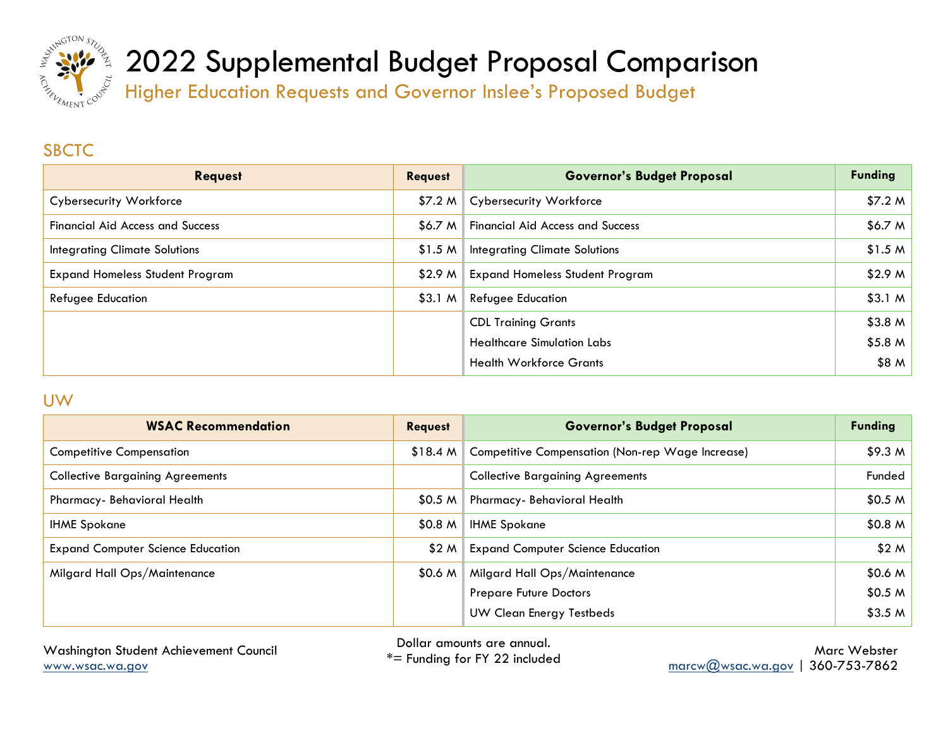

Higher Education Requests and Governor Inslee's Proposed Budget

### **SBCTC**

| <b>Request</b>                          | <b>Request</b> | <b>Governor's Budget Proposal</b>       | <b>Funding</b>     |
|-----------------------------------------|----------------|-----------------------------------------|--------------------|
| <b>Cybersecurity Workforce</b>          | \$7.2 M        | <b>Cybersecurity Workforce</b>          | \$7.2 M            |
| <b>Financial Aid Access and Success</b> | \$6.7 M        | <b>Financial Aid Access and Success</b> | \$6.7 <sub>M</sub> |
| <b>Integrating Climate Solutions</b>    | \$1.5 M        | <b>Integrating Climate Solutions</b>    | \$1.5 M            |
| <b>Expand Homeless Student Program</b>  | \$2.9 M        | <b>Expand Homeless Student Program</b>  | \$2.9 M            |
| <b>Refugee Education</b>                | \$3.1 M        | <b>Refugee Education</b>                | \$3.1 M            |
|                                         |                | <b>CDL Training Grants</b>              | \$3.8 <sub>M</sub> |
|                                         |                | <b>Healthcare Simulation Labs</b>       | \$5.8 M            |
|                                         |                | <b>Health Workforce Grants</b>          | \$8M               |

#### UW

| <b>WSAC Recommendation</b>               | <b>Request</b> | <b>Governor's Budget Proposal</b>                       | <b>Funding</b> |
|------------------------------------------|----------------|---------------------------------------------------------|----------------|
| <b>Competitive Compensation</b>          | \$18.4 M       | <b>Competitive Compensation (Non-rep Wage Increase)</b> | \$9.3 M        |
| <b>Collective Bargaining Agreements</b>  |                | <b>Collective Bargaining Agreements</b>                 | Funded         |
| Pharmacy- Behavioral Health              | \$0.5 M        | Pharmacy- Behavioral Health                             | \$0.5 M        |
| <b>IHME Spokane</b>                      | \$0.8 M        | <b>IHME Spokane</b>                                     | \$0.8 M        |
| <b>Expand Computer Science Education</b> | \$2 M          | <b>Expand Computer Science Education</b>                | \$2M           |
| Milgard Hall Ops/Maintenance             | \$0.6 M        | Milgard Hall Ops/Maintenance                            | \$0.6 M        |
|                                          |                | <b>Prepare Future Doctors</b>                           | \$0.5 M        |
|                                          |                | <b>UW Clean Energy Testbeds</b>                         | \$3.5 M        |

Washington Student Achievement Council [www.wsac.wa.gov](http://www.wsac.wa.gov/)

Dollar amounts are annual.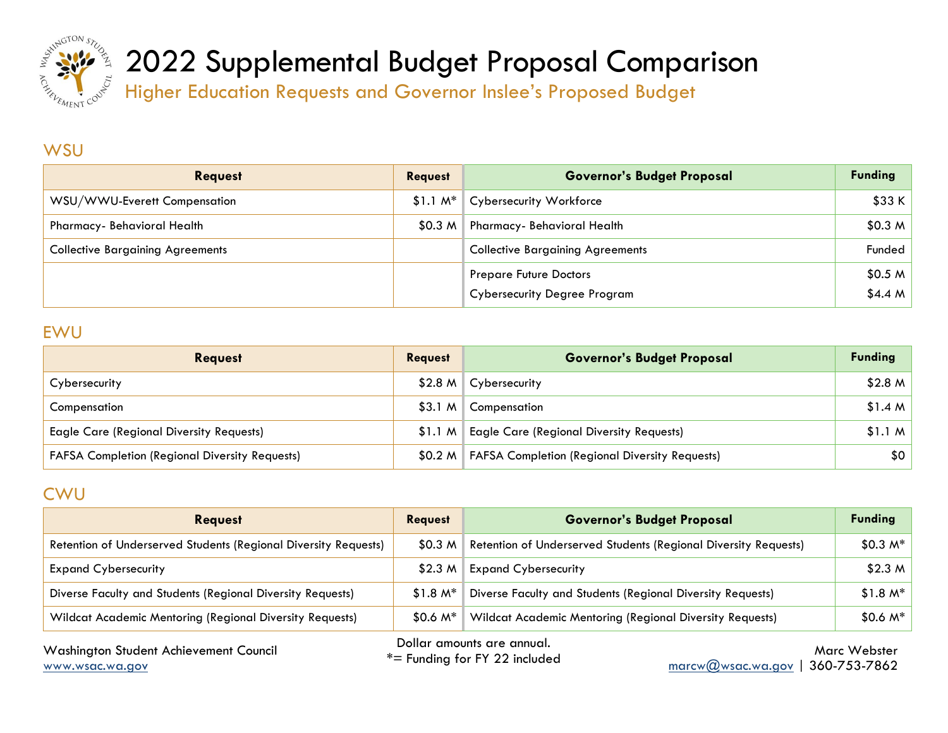

Higher Education Requests and Governor Inslee's Proposed Budget

#### **WSU**

| <b>Request</b>                          | <b>Request</b> | <b>Governor's Budget Proposal</b>       | <b>Funding</b>     |
|-----------------------------------------|----------------|-----------------------------------------|--------------------|
| WSU/WWU-Everett Compensation            | $$1.1 M*$      | Cybersecurity Workforce                 | \$33 K             |
| Pharmacy- Behavioral Health             | \$0.3 M        | Pharmacy- Behavioral Health             | \$0.3 <sub>M</sub> |
| <b>Collective Bargaining Agreements</b> |                | <b>Collective Bargaining Agreements</b> | Funded             |
|                                         |                | <b>Prepare Future Doctors</b>           | \$0.5 <sub>M</sub> |
|                                         |                | <b>Cybersecurity Degree Program</b>     | \$4.4 <sub>M</sub> |

#### EWU

| <b>Reavest</b>                                        | <b>Request</b> | <b>Governor's Budget Proposal</b>                     | <b>Funding</b>   |
|-------------------------------------------------------|----------------|-------------------------------------------------------|------------------|
| Cybersecurity                                         |                | $$2.8 M$ Cybersecurity                                | \$2.8 M          |
| Compensation                                          |                | \$3.1 M   Compensation                                | \$1.4 M          |
| <b>Eagle Care (Regional Diversity Requests)</b>       | \$1.1 M        | <b>Eagle Care (Regional Diversity Requests)</b>       | \$1.1 M          |
| <b>FAFSA Completion (Regional Diversity Requests)</b> | \$0.2 M        | <b>FAFSA Completion (Regional Diversity Requests)</b> | \$0 <sub>2</sub> |

### CWU

| <b>Request</b>                                                  | <b>Request</b>     | <b>Governor's Budget Proposal</b>                                                             | <b>Funding</b>               |
|-----------------------------------------------------------------|--------------------|-----------------------------------------------------------------------------------------------|------------------------------|
| Retention of Underserved Students (Regional Diversity Requests) | \$0.3 M            | Retention of Underserved Students (Regional Diversity Requests)                               | $$0.3 M*$                    |
| <b>Expand Cybersecurity</b>                                     | \$2.3 <sub>M</sub> | <b>Expand Cybersecurity</b>                                                                   | \$2.3 <sub>M</sub>           |
| Diverse Faculty and Students (Regional Diversity Requests)      | $$1.8 M*$          | Diverse Faculty and Students (Regional Diversity Requests)                                    | $$1.8 M*$                    |
| Wildcat Academic Mentoring (Regional Diversity Requests)        | $$0.6\ M^*$        | Wildcat Academic Mentoring (Regional Diversity Requests)                                      | $$0.6 M*$                    |
| Washington Student Achievement Council<br>www.wsac.wa.gov       |                    | Dollar amounts are annual.<br>$*$ Funding for FY 22 included<br>$\text{macro}(Q)$ wsac.wa.gov | Marc Webster<br>360-753-7862 |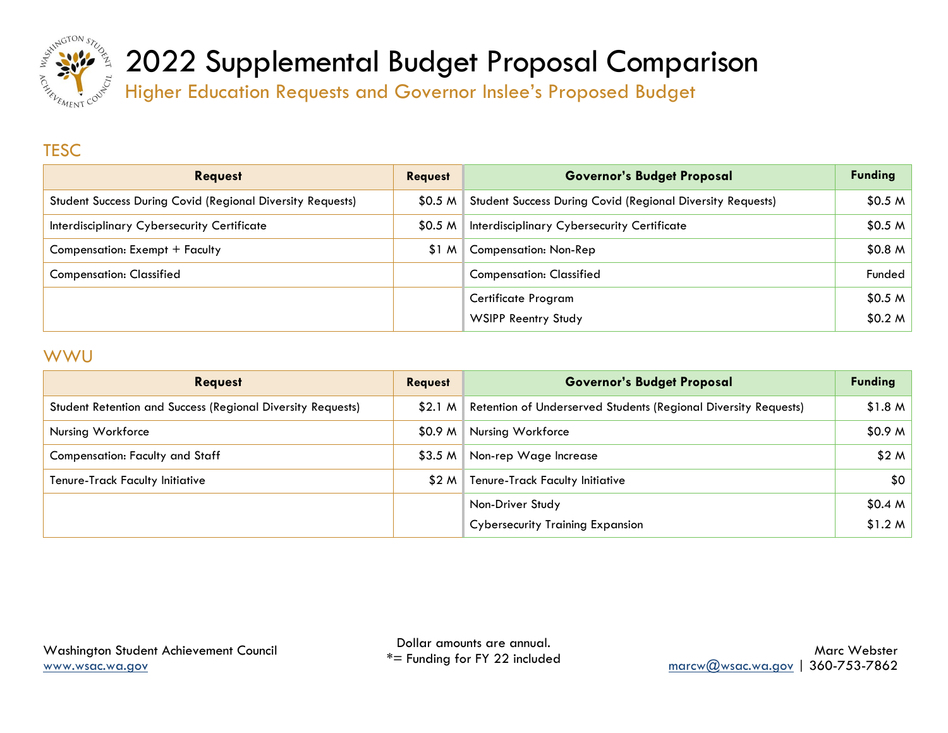

Higher Education Requests and Governor Inslee's Proposed Budget

### **TESC**

| <b>Request</b>                                                    | <b>Request</b>     | <b>Governor's Budget Proposal</b>                          | <b>Funding</b> |
|-------------------------------------------------------------------|--------------------|------------------------------------------------------------|----------------|
| <b>Student Success During Covid (Regional Diversity Requests)</b> | \$0.5 <sub>M</sub> | Student Success During Covid (Regional Diversity Requests) | \$0.5 M        |
| Interdisciplinary Cybersecurity Certificate                       | \$0.5 <sub>M</sub> | Interdisciplinary Cybersecurity Certificate                | \$0.5 M        |
| Compensation: Exempt + Faculty                                    | <b>SIM</b>         | <b>Compensation: Non-Rep</b>                               | \$0.8 M        |
| <b>Compensation: Classified</b>                                   |                    | <b>Compensation: Classified</b>                            | Funded         |
|                                                                   |                    | Certificate Program                                        | \$0.5 M        |
|                                                                   |                    | <b>WSIPP Reentry Study</b>                                 | \$0.2 M        |

#### **WWU**

| <b>Request</b>                                              | <b>Request</b>     | <b>Governor's Budget Proposal</b>                               | <b>Funding</b> |
|-------------------------------------------------------------|--------------------|-----------------------------------------------------------------|----------------|
| Student Retention and Success (Regional Diversity Requests) | \$2.1 <sub>M</sub> | Retention of Underserved Students (Regional Diversity Requests) | \$1.8 M        |
| Nursing Workforce                                           | \$0.9 M            | Nursing Workforce                                               | \$0.9 M        |
| <b>Compensation: Faculty and Staff</b>                      | \$3.5 <sub>M</sub> | Non-rep Wage Increase                                           | \$2M           |
| <b>Tenure-Track Faculty Initiative</b>                      | \$2 M              | <b>Tenure-Track Faculty Initiative</b>                          | \$0            |
|                                                             |                    | Non-Driver Study                                                | \$0.4 M        |
|                                                             |                    | <b>Cybersecurity Training Expansion</b>                         | \$1.2 M        |